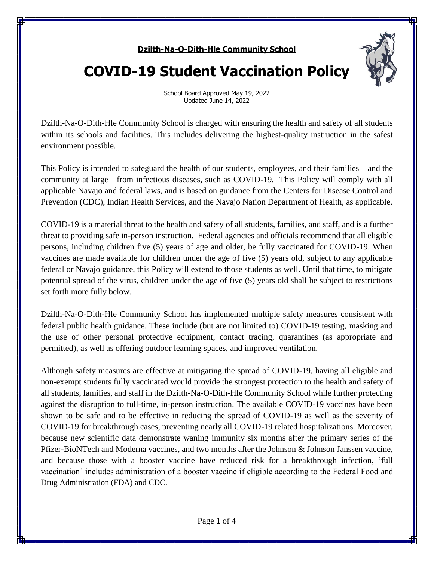## **Dzilth-Na-O-Dith-Hle Community School**



# **COVID-19 Student Vaccination Policy**

School Board Approved May 19, 2022 Updated June 14, 2022

Dzilth-Na-O-Dith-Hle Community School is charged with ensuring the health and safety of all students within its schools and facilities. This includes delivering the highest-quality instruction in the safest environment possible.

This Policy is intended to safeguard the health of our students, employees, and their families—and the community at large—from infectious diseases, such as COVID-19. This Policy will comply with all applicable Navajo and federal laws, and is based on guidance from the Centers for Disease Control and Prevention (CDC), Indian Health Services, and the Navajo Nation Department of Health, as applicable.

COVID-19 is a material threat to the health and safety of all students, families, and staff, and is a further threat to providing safe in-person instruction. Federal agencies and officials recommend that all eligible persons, including children five (5) years of age and older, be fully vaccinated for COVID-19. When vaccines are made available for children under the age of five (5) years old, subject to any applicable federal or Navajo guidance, this Policy will extend to those students as well. Until that time, to mitigate potential spread of the virus, children under the age of five (5) years old shall be subject to restrictions set forth more fully below.

Dzilth-Na-O-Dith-Hle Community School has implemented multiple safety measures consistent with federal public health guidance. These include (but are not limited to) COVID-19 testing, masking and the use of other personal protective equipment, contact tracing, quarantines (as appropriate and permitted), as well as offering outdoor learning spaces, and improved ventilation.

Although safety measures are effective at mitigating the spread of COVID-19, having all eligible and non-exempt students fully vaccinated would provide the strongest protection to the health and safety of all students, families, and staff in the Dzilth-Na-O-Dith-Hle Community School while further protecting against the disruption to full-time, in-person instruction. The available COVID-19 vaccines have been shown to be safe and to be effective in reducing the spread of COVID-19 as well as the severity of COVID-19 for breakthrough cases, preventing nearly all COVID-19 related hospitalizations. Moreover, because new scientific data demonstrate waning immunity six months after the primary series of the Pfizer-BioNTech and Moderna vaccines, and two months after the Johnson & Johnson Janssen vaccine, and because those with a booster vaccine have reduced risk for a breakthrough infection, 'full vaccination' includes administration of a booster vaccine if eligible according to the Federal Food and Drug Administration (FDA) and CDC.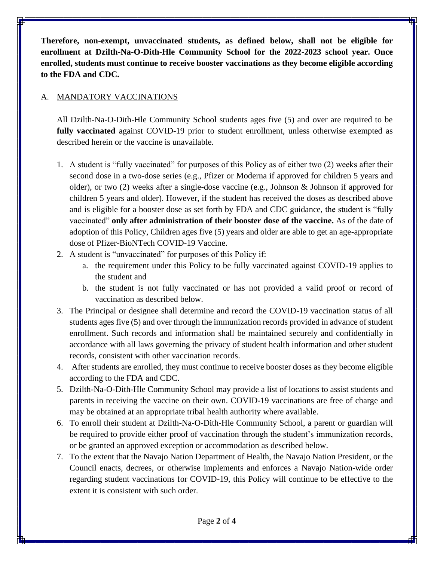**Therefore, non-exempt, unvaccinated students, as defined below, shall not be eligible for enrollment at Dzilth-Na-O-Dith-Hle Community School for the 2022-2023 school year. Once enrolled, students must continue to receive booster vaccinations as they become eligible according to the FDA and CDC.**

## A. MANDATORY VACCINATIONS

All Dzilth-Na-O-Dith-Hle Community School students ages five (5) and over are required to be **fully vaccinated** against COVID-19 prior to student enrollment, unless otherwise exempted as described herein or the vaccine is unavailable.

- 1. A student is "fully vaccinated" for purposes of this Policy as of either two (2) weeks after their second dose in a two-dose series (e.g., Pfizer or Moderna if approved for children 5 years and older), or two (2) weeks after a single-dose vaccine (e.g., Johnson & Johnson if approved for children 5 years and older). However, if the student has received the doses as described above and is eligible for a booster dose as set forth by FDA and CDC guidance, the student is "fully vaccinated" **only after administration of their booster dose of the vaccine.** As of the date of adoption of this Policy, Children ages five (5) years and older are able to get an age-appropriate dose of Pfizer-BioNTech COVID-19 Vaccine.
- 2. A student is "unvaccinated" for purposes of this Policy if:
	- a. the requirement under this Policy to be fully vaccinated against COVID-19 applies to the student and
	- b. the student is not fully vaccinated or has not provided a valid proof or record of vaccination as described below.
- 3. The Principal or designee shall determine and record the COVID-19 vaccination status of all students ages five (5) and over through the immunization records provided in advance of student enrollment. Such records and information shall be maintained securely and confidentially in accordance with all laws governing the privacy of student health information and other student records, consistent with other vaccination records.
- 4. After students are enrolled, they must continue to receive booster doses as they become eligible according to the FDA and CDC.
- 5. Dzilth-Na-O-Dith-Hle Community School may provide a list of locations to assist students and parents in receiving the vaccine on their own. COVID-19 vaccinations are free of charge and may be obtained at an appropriate tribal health authority where available.
- 6. To enroll their student at Dzilth-Na-O-Dith-Hle Community School, a parent or guardian will be required to provide either proof of vaccination through the student's immunization records, or be granted an approved exception or accommodation as described below.
- 7. To the extent that the Navajo Nation Department of Health, the Navajo Nation President, or the Council enacts, decrees, or otherwise implements and enforces a Navajo Nation-wide order regarding student vaccinations for COVID-19, this Policy will continue to be effective to the extent it is consistent with such order.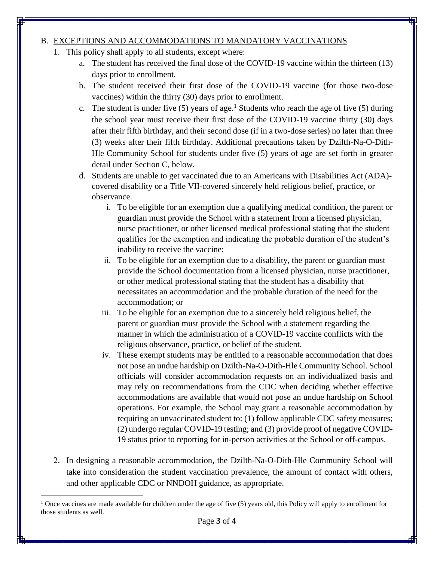### B. EXCEPTIONS AND ACCOMMODATIONS TO MANDATORY VACCINATIONS

- 1. This policy shall apply to all students, except where:
	- a. The student has received the final dose of the COVID-19 vaccine within the thirteen (13) days prior to enrollment.
	- b. The student received their first dose of the COVID-19 vaccine (for those two-dose vaccines) within the thirty (30) days prior to enrollment.
	- c. The student is under five (5) years of age.<sup>1</sup> Students who reach the age of five (5) during the school year must receive their first dose of the COVID-19 vaccine thirty (30) days after their fifth birthday, and their second dose (if in a two-dose series) no later than three (3) weeks after their fifth birthday. Additional precautions taken by Dzilth-Na-O-Dith-Hle Community School for students under five (5) years of age are set forth in greater detail under Section C, below.
	- d. Students are unable to get vaccinated due to an Americans with Disabilities Act (ADA) covered disability or a Title VII-covered sincerely held religious belief, practice, or observance.
		- i. To be eligible for an exemption due a qualifying medical condition, the parent or guardian must provide the School with a statement from a licensed physician, nurse practitioner, or other licensed medical professional stating that the student qualifies for the exemption and indicating the probable duration of the student's inability to receive the vaccine;
		- ii. To be eligible for an exemption due to a disability, the parent or guardian must provide the School documentation from a licensed physician, nurse practitioner, or other medical professional stating that the student has a disability that necessitates an accommodation and the probable duration of the need for the accommodation; or
		- iii. To be eligible for an exemption due to a sincerely held religious belief, the parent or guardian must provide the School with a statement regarding the manner in which the administration of a COVID-19 vaccine conflicts with the religious observance, practice, or belief of the student.
		- iv. These exempt students may be entitled to a reasonable accommodation that does not pose an undue hardship on Dzilth-Na-O-Dith-Hle Community School. School officials will consider accommodation requests on an individualized basis and may rely on recommendations from the CDC when deciding whether effective accommodations are available that would not pose an undue hardship on School operations. For example, the School may grant a reasonable accommodation by requiring an unvaccinated student to: (1) follow applicable CDC safety measures; (2) undergo regular COVID-19 testing; and (3) provide proof of negative COVID-19 status prior to reporting for in-person activities at the School or off-campus.
- 2. In designing a reasonable accommodation, the Dzilth-Na-O-Dith-Hle Community School will take into consideration the student vaccination prevalence, the amount of contact with others, and other applicable CDC or NNDOH guidance, as appropriate.

<sup>&</sup>lt;sup>1</sup> Once vaccines are made available for children under the age of five  $(5)$  years old, this Policy will apply to enrollment for those students as well.